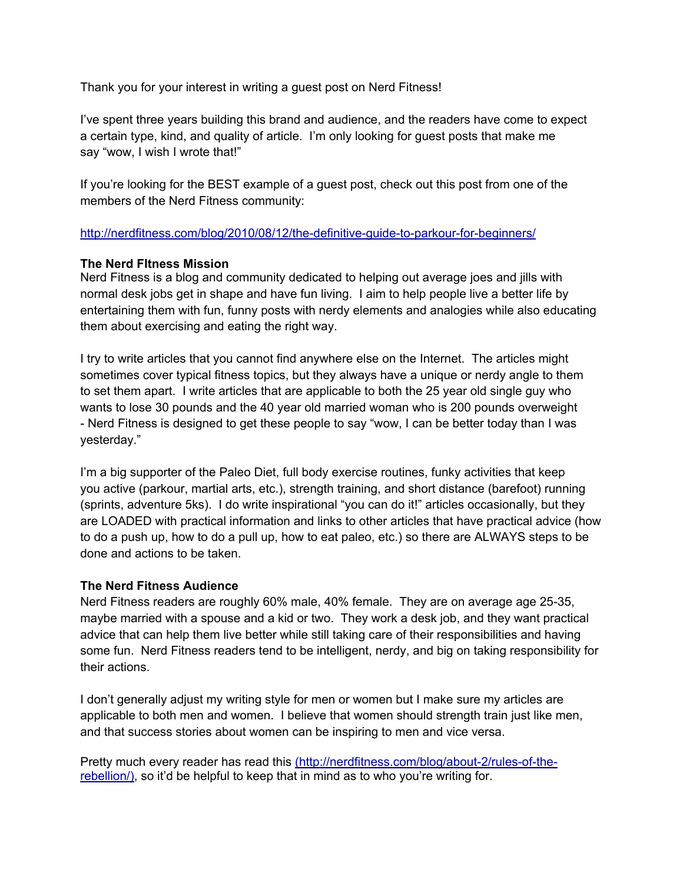Thank you for your interest in writing a guest post on Nerd Fitness!

I've spent three years building this brand and audience, and the readers have come to expect a certain type, kind, and quality of article. I'm only looking for guest posts that make me say "wow, I wish I wrote that!"

If you're looking for the BEST example of a guest post, check out this post from one of the members of the Nerd Fitness community:

<http://nerdfitness.com/blog/2010/08/12/the-definitive-guide-to-parkour-for-beginners/>

### **The Nerd FItness Mission**

Nerd Fitness is a blog and community dedicated to helping out average joes and jills with normal desk jobs get in shape and have fun living. I aim to help people live a better life by entertaining them with fun, funny posts with nerdy elements and analogies while also educating them about exercising and eating the right way.

I try to write articles that you cannot find anywhere else on the Internet. The articles might sometimes cover typical fitness topics, but they always have a unique or nerdy angle to them to set them apart. I write articles that are applicable to both the 25 year old single guy who wants to lose 30 pounds and the 40 year old married woman who is 200 pounds overweight - Nerd Fitness is designed to get these people to say "wow, I can be better today than I was yesterday."

I'm a big supporter of the Paleo Diet, full body exercise routines, funky activities that keep you active (parkour, martial arts, etc.), strength training, and short distance (barefoot) running (sprints, adventure 5ks). I do write inspirational "you can do it!" articles occasionally, but they are LOADED with practical information and links to other articles that have practical advice (how to do a push up, how to do a pull up, how to eat paleo, etc.) so there are ALWAYS steps to be done and actions to be taken.

# **The Nerd Fitness Audience**

Nerd Fitness readers are roughly 60% male, 40% female. They are on average age 25-35, maybe married with a spouse and a kid or two. They work a desk job, and they want practical advice that can help them live better while still taking care of their responsibilities and having some fun. Nerd Fitness readers tend to be intelligent, nerdy, and big on taking responsibility for their actions.

I don't generally adjust my writing style for men or women but I make sure my articles are applicable to both men and women. I believe that women should strength train just like men, and that success stories about women can be inspiring to men and vice versa.

Pretty much every reader has read this (http://nerdfitness.com/blog/about-2/rules-of-therebellion/), so it'd be helpful to keep that in mind as to who you're writing for.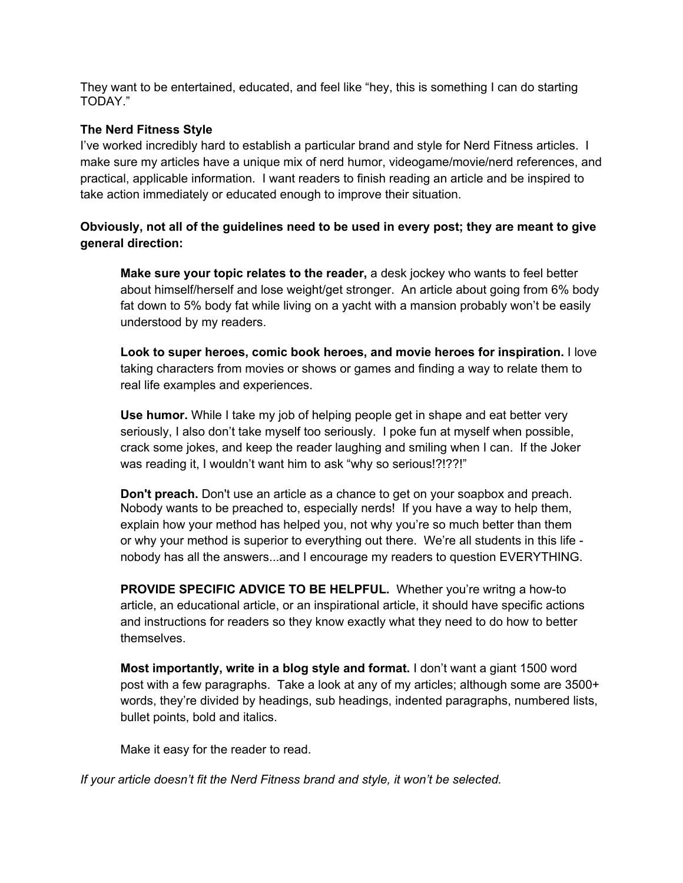They want to be entertained, educated, and feel like "hey, this is something I can do starting TODAY."

# **The Nerd Fitness Style**

I've worked incredibly hard to establish a particular brand and style for Nerd Fitness articles. I make sure my articles have a unique mix of nerd humor, videogame/movie/nerd references, and practical, applicable information. I want readers to finish reading an article and be inspired to take action immediately or educated enough to improve their situation.

# **Obviously, not all of the guidelines need to be used in every post; they are meant to give general direction:**

**Make sure your topic relates to the reader,** a desk jockey who wants to feel better about himself/herself and lose weight/get stronger. An article about going from 6% body fat down to 5% body fat while living on a yacht with a mansion probably won't be easily understood by my readers.

**Look to super heroes, comic book heroes, and movie heroes for inspiration.** I love taking characters from movies or shows or games and finding a way to relate them to real life examples and experiences.

**Use humor.** While I take my job of helping people get in shape and eat better very seriously, I also don't take myself too seriously. I poke fun at myself when possible, crack some jokes, and keep the reader laughing and smiling when I can. If the Joker was reading it, I wouldn't want him to ask "why so serious!?!??!"

**Don't preach.** Don't use an article as a chance to get on your soapbox and preach. Nobody wants to be preached to, especially nerds! If you have a way to help them, explain how your method has helped you, not why you're so much better than them or why your method is superior to everything out there. We're all students in this life nobody has all the answers...and I encourage my readers to question EVERYTHING.

**PROVIDE SPECIFIC ADVICE TO BE HELPFUL.** Whether you're writng a how-to article, an educational article, or an inspirational article, it should have specific actions and instructions for readers so they know exactly what they need to do how to better themselves.

**Most importantly, write in a blog style and format.** I don't want a giant 1500 word post with a few paragraphs. Take a look at any of my articles; although some are 3500+ words, they're divided by headings, sub headings, indented paragraphs, numbered lists, bullet points, bold and italics.

Make it easy for the reader to read.

*If your article doesn't fit the Nerd Fitness brand and style, it won't be selected.*